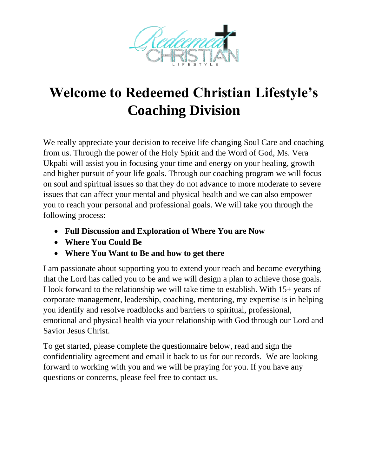

## **Welcome to Redeemed Christian Lifestyle's Coaching Division**

We really appreciate your decision to receive life changing Soul Care and coaching from us. Through the power of the Holy Spirit and the Word of God, Ms. Vera Ukpabi will assist you in focusing your time and energy on your healing, growth and higher pursuit of your life goals. Through our coaching program we will focus on soul and spiritual issues so that they do not advance to more moderate to severe issues that can affect your mental and physical health and we can also empower you to reach your personal and professional goals. We will take you through the following process:

- **Full Discussion and Exploration of Where You are Now**
- **Where You Could Be**
- **Where You Want to Be and how to get there**

I am passionate about supporting you to extend your reach and become everything that the Lord has called you to be and we will design a plan to achieve those goals. I look forward to the relationship we will take time to establish. With 15+ years of corporate management, leadership, coaching, mentoring, my expertise is in helping you identify and resolve roadblocks and barriers to spiritual, professional, emotional and physical health via your relationship with God through our Lord and Savior Jesus Christ.

To get started, please complete the questionnaire below, read and sign the confidentiality agreement and email it back to us for our records. We are looking forward to working with you and we will be praying for you. If you have any questions or concerns, please feel free to contact us.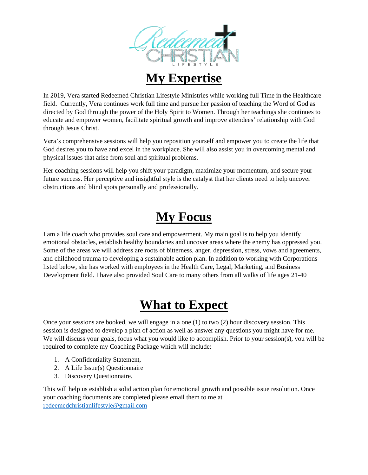

#### **My Expertise**

In 2019, Vera started Redeemed Christian Lifestyle Ministries while working full Time in the Healthcare field. Currently, Vera continues work full time and pursue her passion of teaching the Word of God as directed by God through the power of the Holy Spirit to Women. Through her teachings she continues to educate and empower women, facilitate spiritual growth and improve attendees' relationship with God through Jesus Christ.

Vera's comprehensive sessions will help you reposition yourself and empower you to create the life that God desires you to have and excel in the workplace. She will also assist you in overcoming mental and physical issues that arise from soul and spiritual problems.

Her coaching sessions will help you shift your paradigm, maximize your momentum, and secure your future success. Her perceptive and insightful style is the catalyst that her clients need to help uncover obstructions and blind spots personally and professionally.

### **My Focus**

I am a life coach who provides soul care and empowerment. My main goal is to help you identify emotional obstacles, establish healthy boundaries and uncover areas where the enemy has oppressed you. Some of the areas we will address are roots of bitterness, anger, depression, stress, vows and agreements, and childhood trauma to developing a sustainable action plan. In addition to working with Corporations listed below, she has worked with employees in the Health Care, Legal, Marketing, and Business Development field. I have also provided Soul Care to many others from all walks of life ages 21-40

### **What to Expect**

Once your sessions are booked, we will engage in a one (1) to two (2) hour discovery session. This session is designed to develop a plan of action as well as answer any questions you might have for me. We will discuss your goals, focus what you would like to accomplish. Prior to your session(s), you will be required to complete my Coaching Package which will include:

- 1. A Confidentiality Statement,
- 2. A Life Issue(s) Questionnaire
- 3. Discovery Questionnaire.

This will help us establish a solid action plan for emotional growth and possible issue resolution. Once your coaching documents are completed please email them to me at [redeemedchristianlifestyle@gmail.com](mailto:redeemedchristianlifestyle@gmail.com)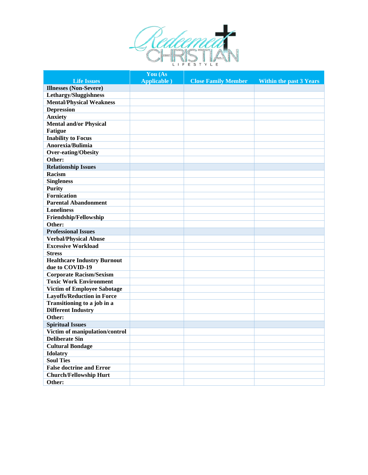

|                                                          | You (As             |                            |                                |
|----------------------------------------------------------|---------------------|----------------------------|--------------------------------|
| <b>Life Issues</b>                                       | <b>Applicable</b> ) | <b>Close Family Member</b> | <b>Within the past 3 Years</b> |
| <b>Illnesses</b> (Non-Severe)                            |                     |                            |                                |
| Lethargy/Sluggishness                                    |                     |                            |                                |
| <b>Mental/Physical Weakness</b>                          |                     |                            |                                |
| <b>Depression</b>                                        |                     |                            |                                |
| <b>Anxiety</b>                                           |                     |                            |                                |
| <b>Mental and/or Physical</b>                            |                     |                            |                                |
| <b>Fatigue</b>                                           |                     |                            |                                |
| <b>Inability to Focus</b>                                |                     |                            |                                |
| Anorexia/Bulimia                                         |                     |                            |                                |
| <b>Over-eating/Obesity</b>                               |                     |                            |                                |
| Other:                                                   |                     |                            |                                |
| <b>Relationship Issues</b>                               |                     |                            |                                |
| Racism                                                   |                     |                            |                                |
| <b>Singleness</b>                                        |                     |                            |                                |
| <b>Purity</b>                                            |                     |                            |                                |
| <b>Fornication</b>                                       |                     |                            |                                |
| <b>Parental Abandonment</b>                              |                     |                            |                                |
| <b>Loneliness</b>                                        |                     |                            |                                |
| Friendship/Fellowship                                    |                     |                            |                                |
| Other:                                                   |                     |                            |                                |
| <b>Professional Issues</b>                               |                     |                            |                                |
| <b>Verbal/Physical Abuse</b>                             |                     |                            |                                |
| <b>Excessive Workload</b>                                |                     |                            |                                |
| <b>Stress</b>                                            |                     |                            |                                |
| <b>Healthcare Industry Burnout</b>                       |                     |                            |                                |
| due to COVID-19                                          |                     |                            |                                |
| <b>Corporate Racism/Sexism</b>                           |                     |                            |                                |
| <b>Toxic Work Environment</b>                            |                     |                            |                                |
| <b>Victim of Employee Sabotage</b>                       |                     |                            |                                |
| <b>Layoffs/Reduction in Force</b>                        |                     |                            |                                |
| Transitioning to a job in a<br><b>Different Industry</b> |                     |                            |                                |
| Other:                                                   |                     |                            |                                |
| <b>Spiritual Issues</b>                                  |                     |                            |                                |
| Victim of manipulation/control                           |                     |                            |                                |
| <b>Deliberate Sin</b>                                    |                     |                            |                                |
| <b>Cultural Bondage</b>                                  |                     |                            |                                |
| <b>Idolatry</b>                                          |                     |                            |                                |
| <b>Soul Ties</b>                                         |                     |                            |                                |
| <b>False doctrine and Error</b>                          |                     |                            |                                |
| <b>Church/Fellowship Hurt</b>                            |                     |                            |                                |
| Other:                                                   |                     |                            |                                |
|                                                          |                     |                            |                                |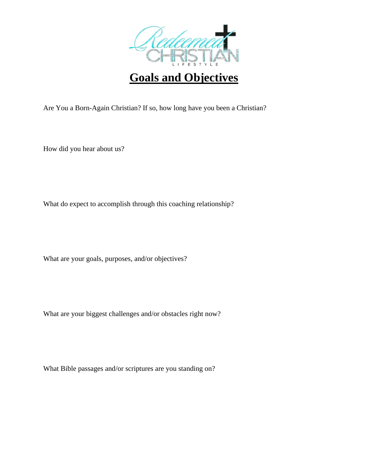

**Goals and Objectives**

Are You a Born-Again Christian? If so, how long have you been a Christian?

How did you hear about us?

What do expect to accomplish through this coaching relationship?

What are your goals, purposes, and/or objectives?

What are your biggest challenges and/or obstacles right now?

What Bible passages and/or scriptures are you standing on?